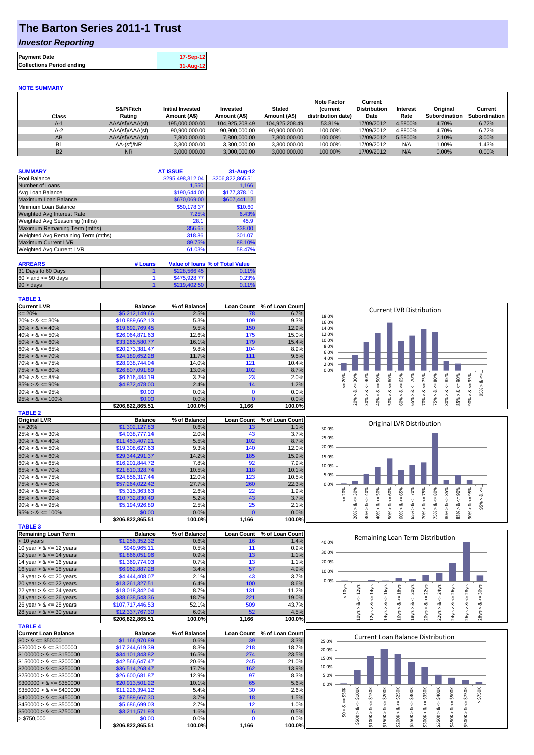## **The Barton Series 2011-1 Trust**

### *Investor Reporting*

| <b>Payment Date</b>              | 17-Sep-12 |
|----------------------------------|-----------|
| <b>Collections Period ending</b> | 31-Aug-12 |

#### **NOTE SUMMARY**

| Class     | S&P/Fitch<br>Rating | <b>Initial Invested</b><br>Amount (A\$) | Invested<br>Amount (A\$) | <b>Stated</b><br>Amount (A\$) | <b>Note Factor</b><br><b>Current</b><br>distribution date) | Current<br><b>Distribution</b><br>Date | Interest<br>Rate | Original<br>Subordination | Current<br>Subordination |
|-----------|---------------------|-----------------------------------------|--------------------------|-------------------------------|------------------------------------------------------------|----------------------------------------|------------------|---------------------------|--------------------------|
| A-1       | AAA(sf)/AAA(sf)     | 195,000,000,00                          | 104.925.208.49           | 104.925.208.49                | 53.81%                                                     | 17/09/2012                             | 4.5800%          | 4.70%                     | 6.72%                    |
| $A-2$     | AAA(sf)/AAA(sf)     | 90.900.000.00                           | 90.900.000.00            | 90.900.000.00                 | 100.00%                                                    | 17/09/2012                             | 4.8800%          | 4.70%                     | 6.72%                    |
| AB        | AAA(sf)/AAA(sf)     | 7,800,000.00                            | 7.800.000.00             | 7,800,000.00                  | 100.00%                                                    | 17/09/2012                             | 5.5800%          | 2.10%                     | $3.00\%$                 |
| <b>B1</b> | AA-(sf)/NR          | 3.300.000.00                            | 3.300.000.00             | 3.300.000.00                  | 100.00%                                                    | 17/09/2012                             | N/A              | $0.00\%$                  | 1.43%                    |
| <b>B2</b> | <b>NR</b>           | 3,000,000.00                            | 3.000.000.00             | 3.000.000.00                  | 100.00%                                                    | 17/09/2012                             | N/A              | 0.00%                     | $0.00\%$                 |

| <b>SUMMARY</b>                     | <b>AT ISSUE</b>  | $31 - Aug - 12$  |
|------------------------------------|------------------|------------------|
| Pool Balance                       | \$295,498,312.04 | \$206,822,865.51 |
| Number of Loans                    | 1,550            | 1,166            |
| Avg Loan Balance                   | \$190,644.00     | \$177,378.10     |
| Maximum Loan Balance               | \$670,069.00     | \$607,441.12     |
| Minimum Loan Balance               | \$50,178.37      | \$10.60          |
| <b>Weighted Avg Interest Rate</b>  | 7.25%            | 6.43%            |
| Weighted Avg Seasoning (mths)      | 28.1             | 45.9             |
| Maximum Remaining Term (mths)      | 356.65           | 338.00           |
| Weighted Avg Remaining Term (mths) | 318.86           | 301.07           |
| <b>Maximum Current LVR</b>         | 89.75%           | 88.10%           |
| Weighted Avg Current LVR           | 61.03%           | 58.47%           |

| <b>ARREARS</b>            | # Loans |              | Value of Ioans % of Total Value |
|---------------------------|---------|--------------|---------------------------------|
| 31 Days to 60 Days        |         | \$228,566.45 | 0.11%                           |
| $60 >$ and $\leq 90$ davs |         | \$475,928.77 | 0.23%                           |
| $90 > \text{days}$        |         | \$219,402.50 | 0.11%                           |

#### **TABLE 1**

**TABLE 4**

| <b>Current LVR</b>   | <b>Balance</b>   | % of Balance | <b>Loan Count</b> | % of Loan Count | <b>Current LVR Distribution</b>                               |
|----------------------|------------------|--------------|-------------------|-----------------|---------------------------------------------------------------|
| $\leq$ 20%           | \$5,212,149.66   | 2.5%         | 78                | 6.7%            | 18.0%                                                         |
| $20\% > 8 \le 30\%$  | \$10,889,662.13  | 5.3%         | 109               | 9.3%            | 16.0%                                                         |
| $30\% > 8 \le 40\%$  | \$19,692,769.45  | 9.5%         | 150               | 12.9%           | 14.0%                                                         |
| $40\% > 8 \le 50\%$  | \$26,064,871,63  | 12.6%        | 175               | 15.0%           | 12.0%                                                         |
| $50\% > 8 \le 60\%$  | \$33,265,580.77  | 16.1%        | 179               | 15.4%           | 10.0%                                                         |
| $60\% > 8 \le 65\%$  | \$20,273,381.47  | 9.8%         | 104               | 8.9%            | 8.0%<br>6.0%                                                  |
| $65\% > 8 \le 70\%$  | \$24,189,652,28  | 11.7%        | 111               | 9.5%            | 4.0%                                                          |
| $70\% > 8 \le 75\%$  | \$28,938,744.04  | 14.0%        | 121               | 10.4%           | 2.0%                                                          |
| $75\% > 8 \le 80\%$  | \$26,807,091.89  | 13.0%        | 102               | 8.7%            | 0.0%                                                          |
| $80\% > 8 \le 85\%$  | \$6,616,484.19   | 3.2%         | 23                | 2.0%            | 20%<br>æ<br>Š.<br>Ŕ<br>ဝ္တ<br>m.<br>$\circ$<br>$\bar{\alpha}$ |
| $85\% > 8 \le 90\%$  | \$4,872,478.00   | 2.4%         | 14                | 1.2%            |                                                               |
| $90\% > 8 \le 95\%$  | \$0.00           | 0.0%         |                   | 0.0%            | الأن<br>∝                                                     |
| $95\% > 8 \le 100\%$ | \$0.00           | 0.0%         |                   | 0.0%            | ఠ<br>െ<br>െ<br>ð<br>ð<br>ے<br>◠                               |
|                      | \$206.822.865.51 | 100.0%       | 1,166             | 100.0%          | $\bar{N}$<br>ıñ                                               |
| <b>TABLE O</b>       |                  |              |                   |                 |                                                               |

| IADLE 4              |                 |              |                   |                 |       |             |  |    |         |               |                           |         |          |   |          |  |
|----------------------|-----------------|--------------|-------------------|-----------------|-------|-------------|--|----|---------|---------------|---------------------------|---------|----------|---|----------|--|
| <b>Original LVR</b>  | <b>Balance</b>  | % of Balance | <b>Loan Count</b> | % of Loan Count |       |             |  |    |         |               | Original LVR Distribution |         |          |   |          |  |
| $\leq$ 20%           | \$1,302,127,83  | 0.6%         | 13.               | 1.1%            | 30.0% |             |  |    |         |               |                           |         |          |   |          |  |
| $25\% > 8 \le 30\%$  | \$4,038,777.14  | 2.0%         | 43                | 3.7%            | 25.0% |             |  |    |         |               |                           |         |          |   |          |  |
| $30\% > 8 \le 40\%$  | \$11,453,407.21 | 5.5%         | 102               | 8.7%            |       |             |  |    |         |               |                           |         |          |   |          |  |
| $40\% > 8 \le 50\%$  | \$19,308,627.63 | 9.3%         | 140               | 12.0%           | 20.0% |             |  |    |         |               |                           |         |          |   |          |  |
| $50\% > 8 \le 60\%$  | \$29,344,291,37 | 14.2%        | 185               | 15.9%           | 15.0% |             |  |    |         |               |                           |         |          |   |          |  |
| $60\% > 8 \le 65\%$  | \$16,201,844.72 | 7.8%         | 92                | 7.9%            | 10.0% |             |  |    |         |               |                           |         |          |   |          |  |
| $65\% > 8 \le 70\%$  | \$21,810,328.74 | 10.5%        | 118               | 10.1%           |       |             |  |    |         |               |                           |         |          |   |          |  |
| $70\% > 8 \le 75\%$  | \$24,856,317.44 | 12.0%        | 123               | 10.5%           | 5.0%  |             |  |    |         |               |                           |         |          |   |          |  |
| $75\% > 8 \le 80\%$  | \$57,264,022,42 | 27.7%        | 260               | 22.3%           | 0.0%  |             |  |    |         |               |                           |         |          |   |          |  |
| $80\% > 8 \le 85\%$  | \$5,315,363.63  | 2.6%         | 22                | 1.9%            |       | ℅<br>Š<br>Ō |  | Š. | ℅<br>Ŗ. | $\aleph$<br>ò | Š.                        | ℅<br>Ř. | ℅<br>Ř   | ℅ |          |  |
| $85\% > 8 \le 90\%$  | \$10,732,830.49 | 5.2%         | 43                | 3.7%            |       |             |  |    |         |               |                           |         |          |   |          |  |
| $90\% > 8 \le 95\%$  | \$5,194,926.89  | 2.5%         | 25                | 2.1%            |       | ∞           |  | ∝  | ∞       | ∞             |                           | ಯ       |          |   | $\sigma$ |  |
| $95\% > 8 \le 100\%$ | \$0.00          | $0.0\%$      |                   | 0.0%            |       |             |  | ട് | ۵       |               |                           | 0       |          |   |          |  |
|                      | enne ann aer ra | 400.001      | $\overline{AB}$   | 400.001         |       |             |  |    |         |               |                           | ഩ       | $\infty$ |   |          |  |

| <b>TABLE 3</b>             |                  |              |                   |                 |
|----------------------------|------------------|--------------|-------------------|-----------------|
| <b>Remaining Loan Term</b> | <b>Balance</b>   | % of Balance | <b>Loan Count</b> | % of Loan Count |
| $< 10$ years               | \$1,256,352.32   | 0.6%         | 16                | 1.4%            |
| 10 year $> 8 \le 12$ years | \$949,965.11     | 0.5%         | 11                | 0.9%            |
| 12 year $> 8 \le 14$ years | \$1,866,051.96   | 0.9%         | 13                | 1.1%            |
| 14 year $> 8 \le 16$ years | \$1,369,774.03   | 0.7%         | 13                | 1.1%            |
| 16 year $> 8 \le 18$ years | \$6,962,887.28   | 3.4%         | 57                | 4.9%            |
| 18 year $> 8 \le 20$ years | \$4,444,408.07   | 2.1%         | 43                | 3.7%            |
| 20 year $> 8 \le 22$ years | \$13,261,327.51  | 6.4%         | 100               | 8.6%            |
| 22 year $> 8 \le 24$ years | \$18,018,342.04  | 8.7%         | 131               | 11.2%           |
| 24 year $> 8 \le 26$ years | \$38,638,543.36  | 18.7%        | 221               | 19.0%           |
| 26 year $> 8 \le 28$ years | \$107.717.446.53 | 52.1%        | 509               | 43.7%           |
| 28 year $> 8 \le 30$ years | \$12,337,767.30  | 6.0%         | 52                | 4.5%            |
|                            | \$206.822.865.51 | 100.0%       | 1.166             | 100.0%          |

**\$206,822,865.51 100.0% 1,166 100.0%**

| TABLE 4                      |                  |              |                   |                 |
|------------------------------|------------------|--------------|-------------------|-----------------|
| Current Loan Balance         | <b>Balance</b>   | % of Balance | <b>Loan Count</b> | % of Loan Count |
| $$0 > 8 \leq $50000$         | \$1.166.970.89   | 0.6%         | 39                | 3.3%            |
| $$50000 > 8 \leq $100000$    | \$17.244.619.39  | 8.3%         | 218               | 18.7%           |
| $$100000 > 8 \leq $150000$   | \$34,101,843,82  | 16.5%        | 274               | 23.5%           |
| $$150000 > 8 \leq $200000$   | \$42,566,647.47  | 20.6%        | 245               | 21.0%           |
| $$200000 > 8 \leq $250000$   | \$36,514,268.47  | 17.7%        | 162               | 13.9%           |
| $$250000 > 8 \leq $300000$   | \$26,600,681.87  | 12.9%        | 97                | 8.3%            |
| $$300000 > 8 \leq $350000$   | \$20.913.501.22  | 10.1%        | 65                | 5.6%            |
| $\$350000 > 8 \leq \$400000$ | \$11,226,394.12  | 5.4%         | 30                | 2.6%            |
| $$400000 > 8 \leq $450000$   | \$7,589,667,30   | 3.7%         | 18                | 1.5%            |
| $$450000 > 8 \leq $500000$   | \$5,686,699.03   | 2.7%         | 12                | 1.0%            |
| $$500000 > 8 \leq $750000$   | \$3.211.571.93   | 1.6%         |                   | 0.5%            |
| > \$750,000                  | \$0.00           | 0.0%         |                   | 0.0%            |
|                              | \$206.822.865.51 | 100.0%       | 1.166             | 100.0%          |